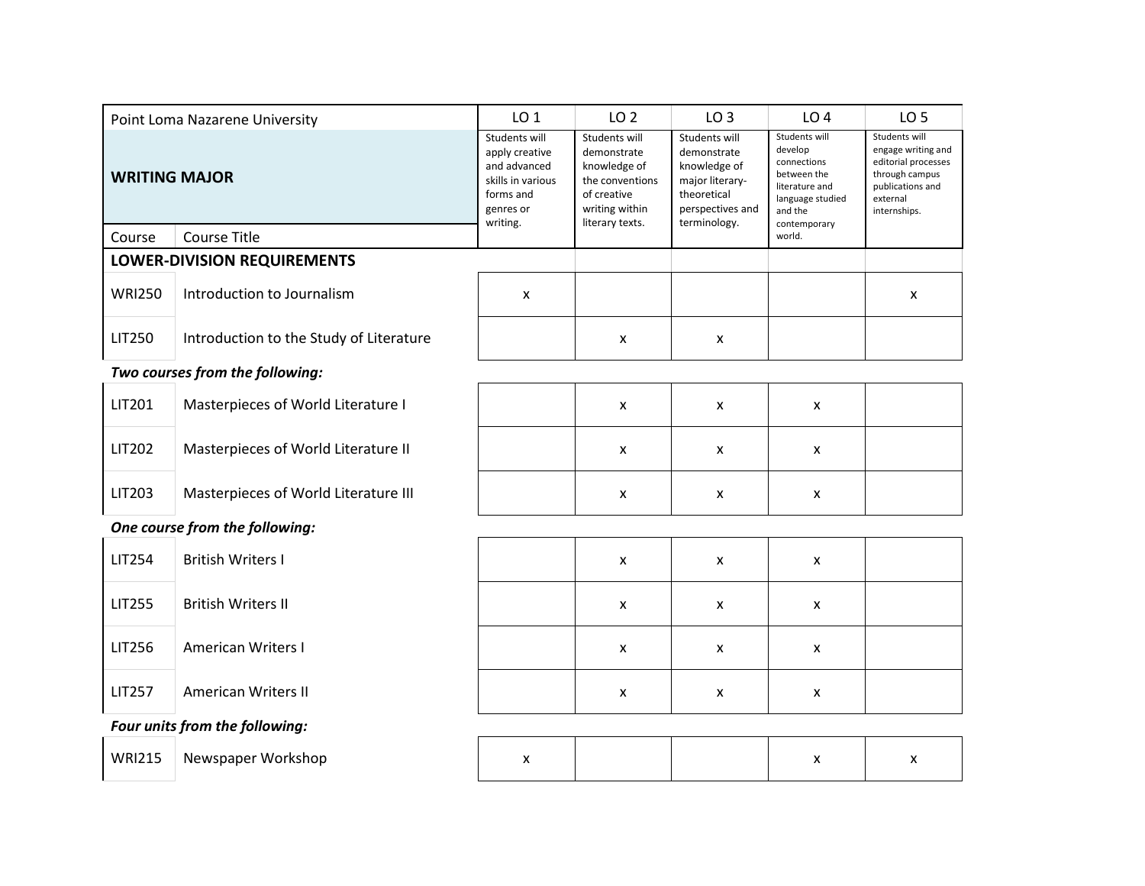|                      | Point Loma Nazarene University          | LO <sub>1</sub>                                                                                            | LO <sub>2</sub>                                                                                                     | LO <sub>3</sub>                                                                                                    | LO <sub>4</sub>                                                                                                         | LO <sub>5</sub>                                                                                                              |
|----------------------|-----------------------------------------|------------------------------------------------------------------------------------------------------------|---------------------------------------------------------------------------------------------------------------------|--------------------------------------------------------------------------------------------------------------------|-------------------------------------------------------------------------------------------------------------------------|------------------------------------------------------------------------------------------------------------------------------|
| <b>WRITING MAJOR</b> |                                         | Students will<br>apply creative<br>and advanced<br>skills in various<br>forms and<br>genres or<br>writing. | Students will<br>demonstrate<br>knowledge of<br>the conventions<br>of creative<br>writing within<br>literary texts. | Students will<br>demonstrate<br>knowledge of<br>major literary-<br>theoretical<br>perspectives and<br>terminology. | Students will<br>develop<br>connections<br>between the<br>literature and<br>language studied<br>and the<br>contemporary | Students will<br>engage writing and<br>editorial processes<br>through campus<br>publications and<br>external<br>internships. |
| Course               | <b>Course Title</b>                     |                                                                                                            |                                                                                                                     |                                                                                                                    | world.                                                                                                                  |                                                                                                                              |
|                      | <b>LOWER-DIVISION REQUIREMENTS</b>      |                                                                                                            |                                                                                                                     |                                                                                                                    |                                                                                                                         |                                                                                                                              |
| <b>WRI250</b>        | Introduction to Journalism              | $\boldsymbol{\mathsf{x}}$                                                                                  |                                                                                                                     |                                                                                                                    |                                                                                                                         | X                                                                                                                            |
| <b>LIT250</b>        | Introduction to the Study of Literature |                                                                                                            | X                                                                                                                   | X                                                                                                                  |                                                                                                                         |                                                                                                                              |
|                      | Two courses from the following:         |                                                                                                            |                                                                                                                     |                                                                                                                    |                                                                                                                         |                                                                                                                              |
| LIT201               | Masterpieces of World Literature I      |                                                                                                            | X                                                                                                                   | X                                                                                                                  | x                                                                                                                       |                                                                                                                              |
| LIT202               | Masterpieces of World Literature II     |                                                                                                            | X                                                                                                                   | X                                                                                                                  | $\mathsf{x}$                                                                                                            |                                                                                                                              |
| LIT203               | Masterpieces of World Literature III    |                                                                                                            | X                                                                                                                   | X                                                                                                                  | X                                                                                                                       |                                                                                                                              |
|                      | One course from the following:          |                                                                                                            |                                                                                                                     |                                                                                                                    |                                                                                                                         |                                                                                                                              |
| <b>LIT254</b>        | <b>British Writers I</b>                |                                                                                                            | X                                                                                                                   | X                                                                                                                  | X                                                                                                                       |                                                                                                                              |
| <b>LIT255</b>        | <b>British Writers II</b>               |                                                                                                            | X                                                                                                                   | X                                                                                                                  | x                                                                                                                       |                                                                                                                              |
| <b>LIT256</b>        | <b>American Writers I</b>               |                                                                                                            | X                                                                                                                   | X                                                                                                                  | $\mathsf{x}$                                                                                                            |                                                                                                                              |
| <b>LIT257</b>        | <b>American Writers II</b>              |                                                                                                            | X                                                                                                                   | X                                                                                                                  | X                                                                                                                       |                                                                                                                              |
|                      | Four units from the following:          |                                                                                                            |                                                                                                                     |                                                                                                                    |                                                                                                                         |                                                                                                                              |
| <b>WRI215</b>        | Newspaper Workshop                      | X                                                                                                          |                                                                                                                     |                                                                                                                    | X                                                                                                                       | X                                                                                                                            |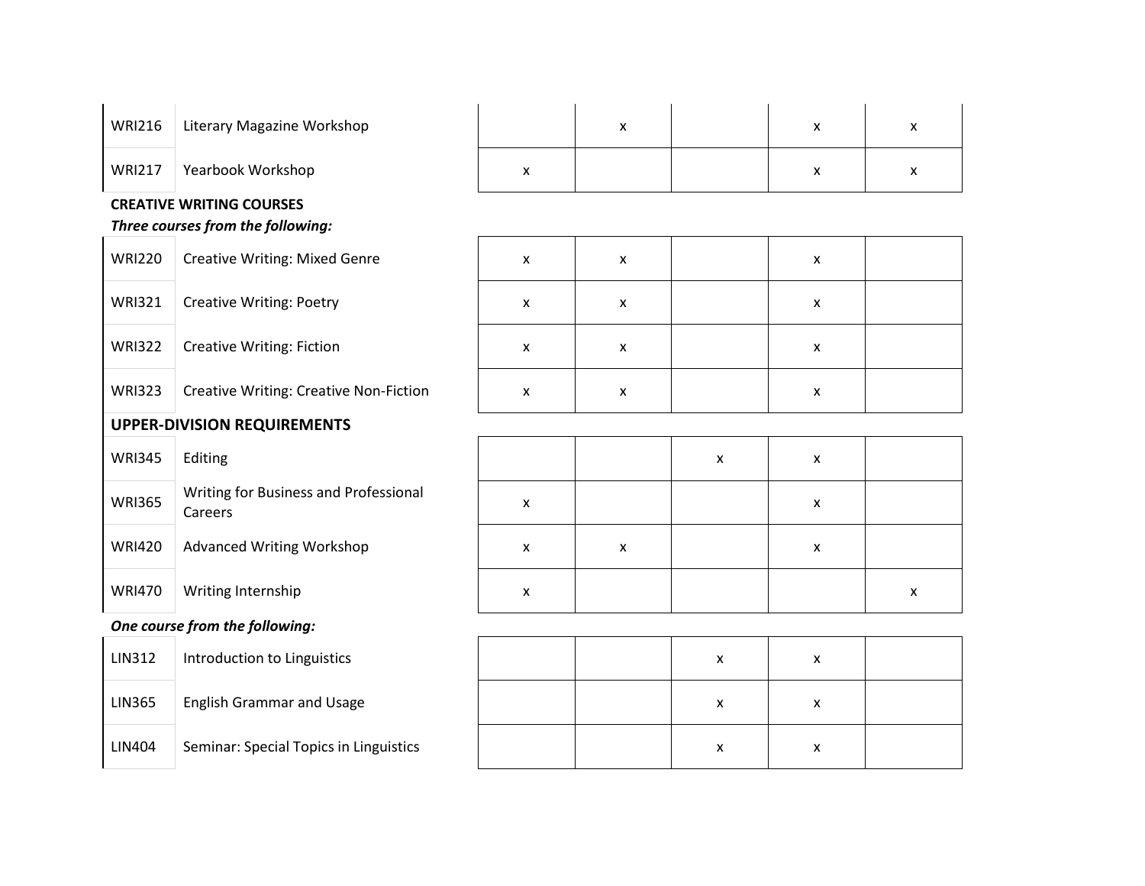| <b>WRI216</b> | Literary Magazine Workshop | Λ | ◠ |  |
|---------------|----------------------------|---|---|--|
| <b>WRI217</b> | Yearbook Workshop          |   |   |  |

## **CREATIVE WRITING COURSES**

## *Three courses from the following:*

| <b>WRI220</b>                      | <b>Creative Writing: Mixed Genre</b>             |  |  |  |
|------------------------------------|--------------------------------------------------|--|--|--|
| <b>WRI321</b>                      | <b>Creative Writing: Poetry</b>                  |  |  |  |
| <b>WRI322</b>                      | <b>Creative Writing: Fiction</b>                 |  |  |  |
| <b>WRI323</b>                      | <b>Creative Writing: Creative Non-Fiction</b>    |  |  |  |
| <b>UPPER-DIVISION REQUIREMENTS</b> |                                                  |  |  |  |
| <b>WRI345</b>                      | Editing                                          |  |  |  |
| <b>WRI365</b>                      | Writing for Business and Professional<br>Careers |  |  |  |
| <b>WRI420</b>                      | <b>Advanced Writing Workshop</b>                 |  |  |  |
| <b>WRI470</b>                      | Writing Internship                               |  |  |  |
|                                    | <i>.</i>                                         |  |  |  |

|  | One course from the following: |
|--|--------------------------------|
|  |                                |

| LIN312        | Introduction to Linguistics         |
|---------------|-------------------------------------|
| <b>LIN365</b> | <b>English Grammar and Usage</b>    |
| LIN404        | Seminar: Special Topics in Linguist |

| <b>WRI220</b> | <b>Creative Writing: Mixed Genre</b>          | x | x | x |  |
|---------------|-----------------------------------------------|---|---|---|--|
| <b>WRI321</b> | <b>Creative Writing: Poetry</b>               | x | х | х |  |
| <b>WRI322</b> | <b>Creative Writing: Fiction</b>              | x | x | x |  |
| <b>WRI323</b> | <b>Creative Writing: Creative Non-Fiction</b> | x | x | x |  |

| <b>WRI345</b> | Editing                                          |   |   | x | x |   |
|---------------|--------------------------------------------------|---|---|---|---|---|
| <b>WRI365</b> | Writing for Business and Professional<br>Careers | x |   |   | x |   |
| <b>WRI420</b> | <b>Advanced Writing Workshop</b>                 | x | x |   | x |   |
| <b>WRI470</b> | Writing Internship                               | x |   |   |   | x |

| <b>LIN312</b> | Introduction to Linguistics            |  | x | x |  |
|---------------|----------------------------------------|--|---|---|--|
| <b>LIN365</b> | <b>English Grammar and Usage</b>       |  | x | x |  |
| <b>LIN404</b> | Seminar: Special Topics in Linguistics |  | x | x |  |